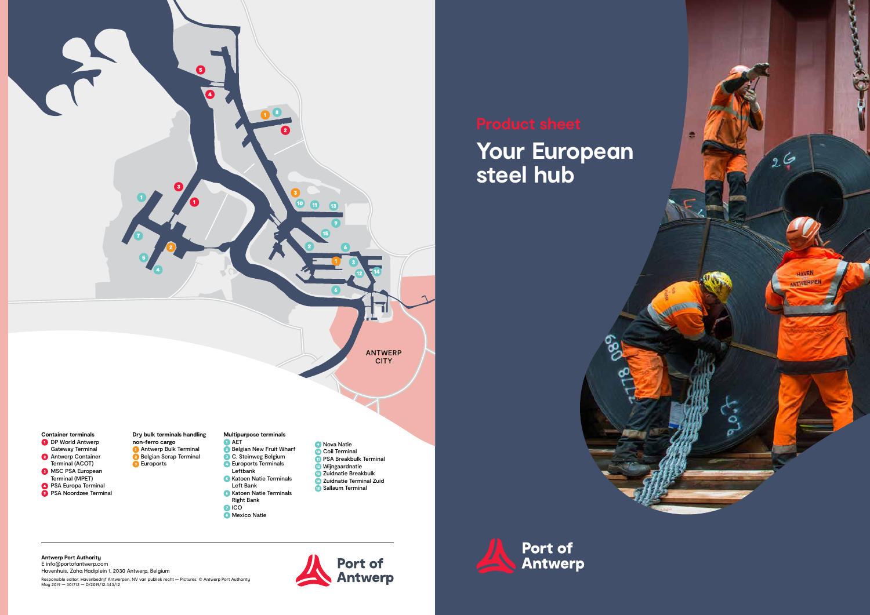# **Your European steel hub**

**6** Mexico Natie

**Port of<br>Antwerp** 

**Antwerp Port Authority**  E info@portofantwerp.com





Havenhuis, Zaha Hadiplein 1, 2030 Antwerp, Belgium Responsible editor: Havenbedrijf Antwerpen, NV van publiek recht — Pictures: © Antwerp Port Authority May 2019 — 301712 — D/2019/12.443/12